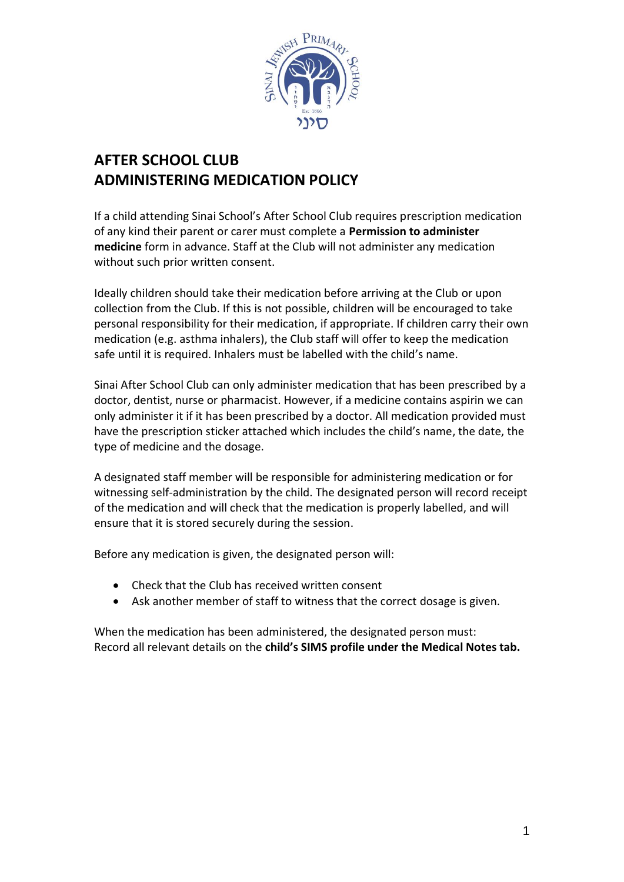

## **AFTER SCHOOL CLUB ADMINISTERING MEDICATION POLICY**

If a child attending Sinai School's After School Club requires prescription medication of any kind their parent or carer must complete a **Permission to administer medicine** form in advance. Staff at the Club will not administer any medication without such prior written consent.

Ideally children should take their medication before arriving at the Club or upon collection from the Club. If this is not possible, children will be encouraged to take personal responsibility for their medication, if appropriate. If children carry their own medication (e.g. asthma inhalers), the Club staff will offer to keep the medication safe until it is required. Inhalers must be labelled with the child's name.

Sinai After School Club can only administer medication that has been prescribed by a doctor, dentist, nurse or pharmacist. However, if a medicine contains aspirin we can only administer it if it has been prescribed by a doctor. All medication provided must have the prescription sticker attached which includes the child's name, the date, the type of medicine and the dosage.

A designated staff member will be responsible for administering medication or for witnessing self-administration by the child. The designated person will record receipt of the medication and will check that the medication is properly labelled, and will ensure that it is stored securely during the session.

Before any medication is given, the designated person will:

- Check that the Club has received written consent
- Ask another member of staff to witness that the correct dosage is given.

When the medication has been administered, the designated person must: Record all relevant details on the **child's SIMS profile under the Medical Notes tab.**